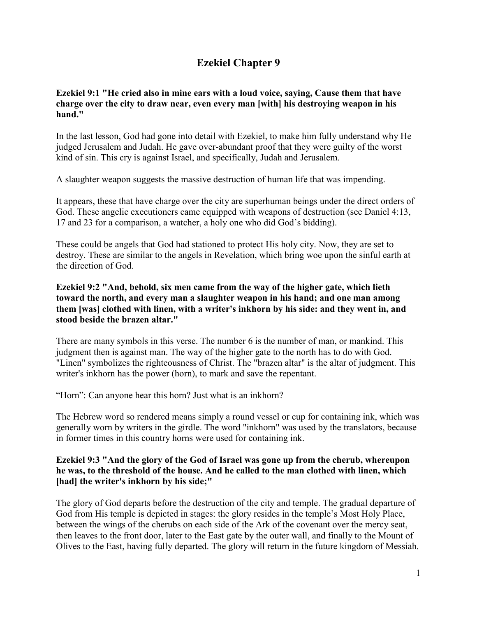# **Ezekiel Chapter 9**

#### **Ezekiel 9:1 "He cried also in mine ears with a loud voice, saying, Cause them that have charge over the city to draw near, even every man [with] his destroying weapon in his hand."**

In the last lesson, God had gone into detail with Ezekiel, to make him fully understand why He judged Jerusalem and Judah. He gave over-abundant proof that they were guilty of the worst kind of sin. This cry is against Israel, and specifically, Judah and Jerusalem.

A slaughter weapon suggests the massive destruction of human life that was impending.

It appears, these that have charge over the city are superhuman beings under the direct orders of God. These angelic executioners came equipped with weapons of destruction (see Daniel 4:13, 17 and 23 for a comparison, a watcher, a holy one who did God's bidding).

These could be angels that God had stationed to protect His holy city. Now, they are set to destroy. These are similar to the angels in Revelation, which bring woe upon the sinful earth at the direction of God.

### **Ezekiel 9:2 "And, behold, six men came from the way of the higher gate, which lieth toward the north, and every man a slaughter weapon in his hand; and one man among them [was] clothed with linen, with a writer's inkhorn by his side: and they went in, and stood beside the brazen altar."**

There are many symbols in this verse. The number 6 is the number of man, or mankind. This judgment then is against man. The way of the higher gate to the north has to do with God. "Linen" symbolizes the righteousness of Christ. The "brazen altar" is the altar of judgment. This writer's inkhorn has the power (horn), to mark and save the repentant.

"Horn": Can anyone hear this horn? Just what is an inkhorn?

The Hebrew word so rendered means simply a round vessel or cup for containing ink, which was generally worn by writers in the girdle. The word "inkhorn" was used by the translators, because in former times in this country horns were used for containing ink.

# **Ezekiel 9:3 "And the glory of the God of Israel was gone up from the cherub, whereupon he was, to the threshold of the house. And he called to the man clothed with linen, which [had] the writer's inkhorn by his side;"**

The glory of God departs before the destruction of the city and temple. The gradual departure of God from His temple is depicted in stages: the glory resides in the temple's Most Holy Place, between the wings of the cherubs on each side of the Ark of the covenant over the mercy seat, then leaves to the front door, later to the East gate by the outer wall, and finally to the Mount of Olives to the East, having fully departed. The glory will return in the future kingdom of Messiah.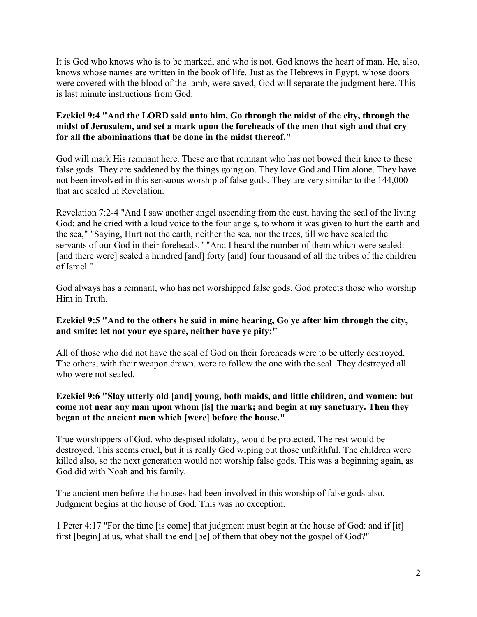It is God who knows who is to be marked, and who is not. God knows the heart of man. He, also, knows whose names are written in the book of life. Just as the Hebrews in Egypt, whose doors were covered with the blood of the lamb, were saved, God will separate the judgment here. This is last minute instructions from God.

# **Ezekiel 9:4 "And the LORD said unto him, Go through the midst of the city, through the midst of Jerusalem, and set a mark upon the foreheads of the men that sigh and that cry for all the abominations that be done in the midst thereof."**

God will mark His remnant here. These are that remnant who has not bowed their knee to these false gods. They are saddened by the things going on. They love God and Him alone. They have not been involved in this sensuous worship of false gods. They are very similar to the 144,000 that are sealed in Revelation.

Revelation 7:2-4 "And I saw another angel ascending from the east, having the seal of the living God: and he cried with a loud voice to the four angels, to whom it was given to hurt the earth and the sea," "Saying, Hurt not the earth, neither the sea, nor the trees, till we have sealed the servants of our God in their foreheads." "And I heard the number of them which were sealed: [and there were] sealed a hundred [and] forty [and] four thousand of all the tribes of the children of Israel."

God always has a remnant, who has not worshipped false gods. God protects those who worship Him in Truth.

# **Ezekiel 9:5 "And to the others he said in mine hearing, Go ye after him through the city, and smite: let not your eye spare, neither have ye pity:"**

All of those who did not have the seal of God on their foreheads were to be utterly destroyed. The others, with their weapon drawn, were to follow the one with the seal. They destroyed all who were not sealed.

# **Ezekiel 9:6 "Slay utterly old [and] young, both maids, and little children, and women: but come not near any man upon whom [is] the mark; and begin at my sanctuary. Then they began at the ancient men which [were] before the house."**

True worshippers of God, who despised idolatry, would be protected. The rest would be destroyed. This seems cruel, but it is really God wiping out those unfaithful. The children were killed also, so the next generation would not worship false gods. This was a beginning again, as God did with Noah and his family.

The ancient men before the houses had been involved in this worship of false gods also. Judgment begins at the house of God. This was no exception.

1 Peter 4:17 "For the time [is come] that judgment must begin at the house of God: and if [it] first [begin] at us, what shall the end [be] of them that obey not the gospel of God?"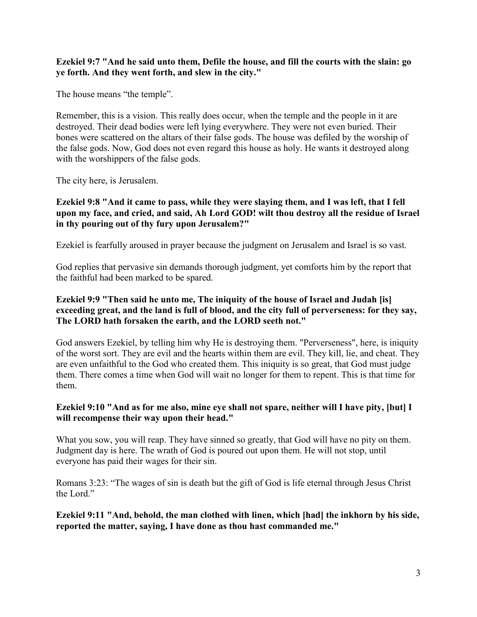#### **Ezekiel 9:7 "And he said unto them, Defile the house, and fill the courts with the slain: go ye forth. And they went forth, and slew in the city."**

The house means "the temple".

Remember, this is a vision. This really does occur, when the temple and the people in it are destroyed. Their dead bodies were left lying everywhere. They were not even buried. Their bones were scattered on the altars of their false gods. The house was defiled by the worship of the false gods. Now, God does not even regard this house as holy. He wants it destroyed along with the worshippers of the false gods.

The city here, is Jerusalem.

# **Ezekiel 9:8 "And it came to pass, while they were slaying them, and I was left, that I fell upon my face, and cried, and said, Ah Lord GOD! wilt thou destroy all the residue of Israel in thy pouring out of thy fury upon Jerusalem?"**

Ezekiel is fearfully aroused in prayer because the judgment on Jerusalem and Israel is so vast.

God replies that pervasive sin demands thorough judgment, yet comforts him by the report that the faithful had been marked to be spared.

### **Ezekiel 9:9 "Then said he unto me, The iniquity of the house of Israel and Judah [is] exceeding great, and the land is full of blood, and the city full of perverseness: for they say, The LORD hath forsaken the earth, and the LORD seeth not."**

God answers Ezekiel, by telling him why He is destroying them. "Perverseness", here, is iniquity of the worst sort. They are evil and the hearts within them are evil. They kill, lie, and cheat. They are even unfaithful to the God who created them. This iniquity is so great, that God must judge them. There comes a time when God will wait no longer for them to repent. This is that time for them.

# **Ezekiel 9:10 "And as for me also, mine eye shall not spare, neither will I have pity, [but] I will recompense their way upon their head."**

What you sow, you will reap. They have sinned so greatly, that God will have no pity on them. Judgment day is here. The wrath of God is poured out upon them. He will not stop, until everyone has paid their wages for their sin.

Romans 3:23: "The wages of sin is death but the gift of God is life eternal through Jesus Christ the Lord."

# **Ezekiel 9:11 "And, behold, the man clothed with linen, which [had] the inkhorn by his side, reported the matter, saying, I have done as thou hast commanded me."**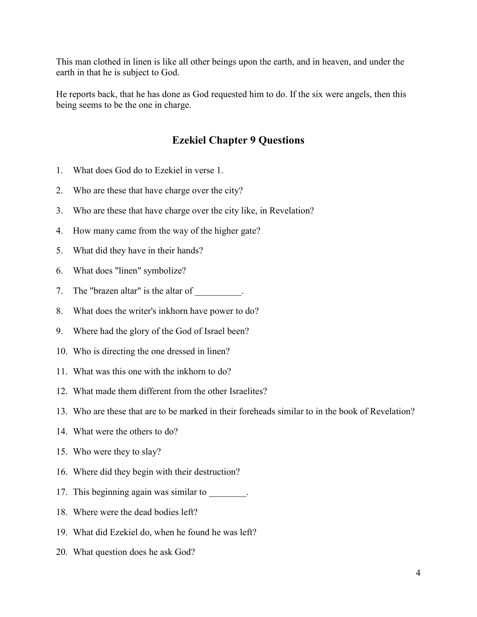This man clothed in linen is like all other beings upon the earth, and in heaven, and under the earth in that he is subject to God.

He reports back, that he has done as God requested him to do. If the six were angels, then this being seems to be the one in charge.

# **Ezekiel Chapter 9 Questions**

- 1. What does God do to Ezekiel in verse 1.
- 2. Who are these that have charge over the city?
- 3. Who are these that have charge over the city like, in Revelation?
- 4. How many came from the way of the higher gate?
- 5. What did they have in their hands?
- 6. What does "linen" symbolize?
- 7. The "brazen altar" is the altar of  $\blacksquare$ .
- 8. What does the writer's inkhorn have power to do?
- 9. Where had the glory of the God of Israel been?
- 10. Who is directing the one dressed in linen?
- 11. What was this one with the inkhorn to do?
- 12. What made them different from the other Israelites?
- 13. Who are these that are to be marked in their foreheads similar to in the book of Revelation?
- 14. What were the others to do?
- 15. Who were they to slay?
- 16. Where did they begin with their destruction?
- 17. This beginning again was similar to \_\_\_\_\_\_\_\_.
- 18. Where were the dead bodies left?
- 19. What did Ezekiel do, when he found he was left?
- 20. What question does he ask God?